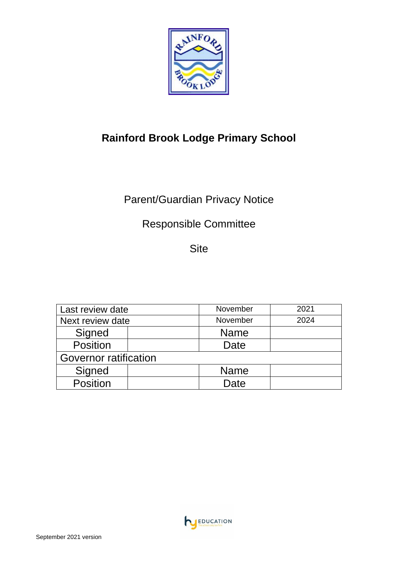

# **Rainford Brook Lodge Primary School**

# Parent/Guardian Privacy Notice

## Responsible Committee

Site

| Last review date      |  | November    | 2021 |
|-----------------------|--|-------------|------|
| Next review date      |  | November    | 2024 |
| Signed                |  | <b>Name</b> |      |
| <b>Position</b>       |  | Date        |      |
| Governor ratification |  |             |      |
| Signed                |  | <b>Name</b> |      |
| <b>Position</b>       |  | Date        |      |

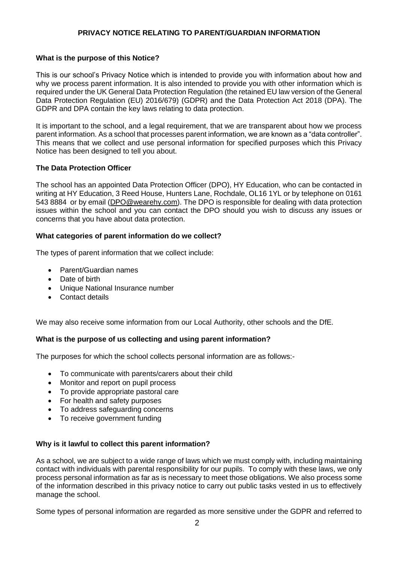## **PRIVACY NOTICE RELATING TO PARENT/GUARDIAN INFORMATION**

## **What is the purpose of this Notice?**

This is our school's Privacy Notice which is intended to provide you with information about how and why we process parent information. It is also intended to provide you with other information which is required under the UK General Data Protection Regulation (the retained EU law version of the General Data Protection Regulation (EU) 2016/679) (GDPR) and the Data Protection Act 2018 (DPA). The GDPR and DPA contain the key laws relating to data protection.

It is important to the school, and a legal requirement, that we are transparent about how we process parent information. As a school that processes parent information, we are known as a "data controller". This means that we collect and use personal information for specified purposes which this Privacy Notice has been designed to tell you about.

#### **The Data Protection Officer**

The school has an appointed Data Protection Officer (DPO), HY Education, who can be contacted in writing at HY Education, 3 Reed House, Hunters Lane, Rochdale, OL16 1YL or by telephone on 0161 543 8884 or by email [\(DPO@wearehy.com\)](mailto:DPO@wearehy.com). The DPO is responsible for dealing with data protection issues within the school and you can contact the DPO should you wish to discuss any issues or concerns that you have about data protection.

### **What categories of parent information do we collect?**

The types of parent information that we collect include:

- Parent/Guardian names
- Date of birth
- Unique National Insurance number
- Contact details

We may also receive some information from our Local Authority, other schools and the DfE.

## **What is the purpose of us collecting and using parent information?**

The purposes for which the school collects personal information are as follows:-

- To communicate with parents/carers about their child
- Monitor and report on pupil process
- To provide appropriate pastoral care
- For health and safety purposes
- To address safeguarding concerns
- To receive government funding

## **Why is it lawful to collect this parent information?**

As a school, we are subject to a wide range of laws which we must comply with, including maintaining contact with individuals with parental responsibility for our pupils. To comply with these laws, we only process personal information as far as is necessary to meet those obligations. We also process some of the information described in this privacy notice to carry out public tasks vested in us to effectively manage the school.

Some types of personal information are regarded as more sensitive under the GDPR and referred to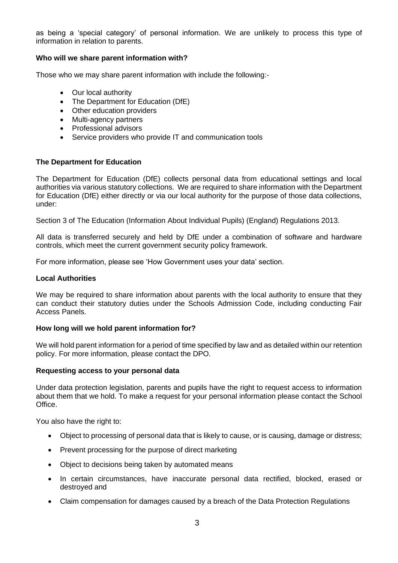as being a 'special category' of personal information. We are unlikely to process this type of information in relation to parents.

## **Who will we share parent information with?**

Those who we may share parent information with include the following:-

- Our local authority
- The Department for Education (DfE)
- Other education providers
- Multi-agency partners
- Professional advisors
- Service providers who provide IT and communication tools

### **The Department for Education**

The Department for Education (DfE) collects personal data from educational settings and local authorities via various statutory collections. We are required to share information with the Department for Education (DfE) either directly or via our local authority for the purpose of those data collections, under:

Section 3 of The Education (Information About Individual Pupils) (England) Regulations 2013.

All data is transferred securely and held by DfE under a combination of software and hardware controls, which meet the current government security policy framework.

For more information, please see 'How Government uses your data' section.

#### **Local Authorities**

We may be required to share information about parents with the local authority to ensure that they can conduct their statutory duties under the Schools Admission Code, including conducting Fair Access Panels.

#### **How long will we hold parent information for?**

We will hold parent information for a period of time specified by law and as detailed within our retention policy. For more information, please contact the DPO.

#### **Requesting access to your personal data**

Under data protection legislation, parents and pupils have the right to request access to information about them that we hold. To make a request for your personal information please contact the School Office.

You also have the right to:

- Object to processing of personal data that is likely to cause, or is causing, damage or distress;
- Prevent processing for the purpose of direct marketing
- Object to decisions being taken by automated means
- In certain circumstances, have inaccurate personal data rectified, blocked, erased or destroyed and
- Claim compensation for damages caused by a breach of the Data Protection Regulations